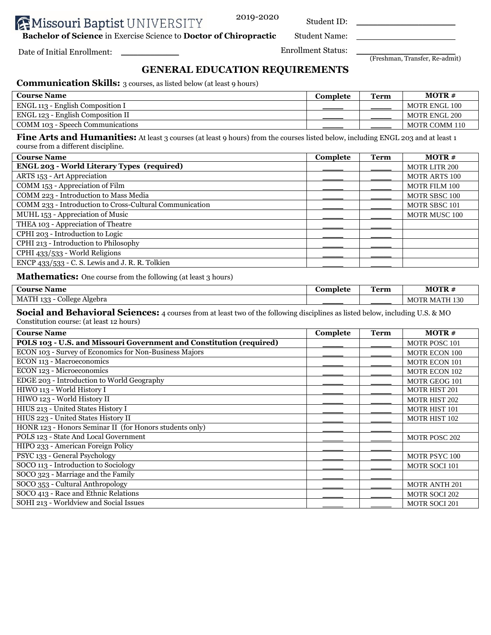**AMissouri Baptist UNIVERSITY** 

2019-2020 Student ID: \_\_\_\_\_\_\_\_\_\_\_\_\_\_\_\_\_\_\_\_\_\_\_\_

**Bachelor of Science** in Exercise Science to **Doctor of Chiropractic** Student Name:

Date of Initial Enrollment: \_\_\_\_\_\_\_\_\_\_\_\_\_\_ Enrollment Status: \_\_\_\_\_\_\_\_\_\_\_\_\_\_\_\_\_\_\_\_\_\_\_\_

(Freshman, Transfer, Re-admit)

## **GENERAL EDUCATION REQUIREMENTS**

**Communication Skills:** 3 courses, as listed below (at least 9 hours)

| <b>Course Name</b>                | <b>Complete</b> | <b>Term</b> | $MOTR \#$     |
|-----------------------------------|-----------------|-------------|---------------|
| ENGL 113 - English Composition I  |                 |             | MOTR ENGL 100 |
| ENGL 123 - English Composition II |                 |             | MOTR ENGL 200 |
| COMM 103 - Speech Communications  |                 |             | MOTR COMM 110 |

**Fine Arts and Humanities:** At least 3 courses (at least 9 hours) from the courses listed below, including ENGL 203 and at least 1 course from a different discipline.

| <b>Course Name</b>                                      | Complete | Term | $MOTR \#$            |
|---------------------------------------------------------|----------|------|----------------------|
| <b>ENGL 203 - World Literary Types (required)</b>       |          |      | <b>MOTR LITR 200</b> |
| ARTS 153 - Art Appreciation                             |          |      | <b>MOTR ARTS 100</b> |
| COMM 153 - Appreciation of Film                         |          |      | <b>MOTR FILM 100</b> |
| COMM 223 - Introduction to Mass Media                   |          |      | <b>MOTR SBSC 100</b> |
| COMM 233 - Introduction to Cross-Cultural Communication |          |      | MOTR SBSC 101        |
| MUHL 153 - Appreciation of Music                        |          |      | <b>MOTR MUSC 100</b> |
| THEA 103 - Appreciation of Theatre                      |          |      |                      |
| CPHI 203 - Introduction to Logic                        |          |      |                      |
| CPHI 213 - Introduction to Philosophy                   |          |      |                      |
| CPHI 433/533 - World Religions                          |          |      |                      |
| ENCP 433/533 - C. S. Lewis and J. R. R. Tolkien         |          |      |                      |

**Mathematics:** One course from the following (at least 3 hours)

| <b>Course Name</b>                            | Complete | <b>Term</b><br>______ | <b>MOTR</b>                        |
|-----------------------------------------------|----------|-----------------------|------------------------------------|
| College Algebra<br><b>MATH 133</b><br>$122 -$ |          |                       | 130<br>$- -$<br>MO)<br>чĸ<br>IVI A |

**Social and Behavioral Sciences:** 4 courses from at least two of the following disciplines as listed below, including U.S. & MO Constitution course: (at least 12 hours)

| <b>Course Name</b>                                                  | Complete | <b>Term</b> | MOTR#                |
|---------------------------------------------------------------------|----------|-------------|----------------------|
| POLS 103 - U.S. and Missouri Government and Constitution (required) |          |             | <b>MOTR POSC 101</b> |
| ECON 103 - Survey of Economics for Non-Business Majors              |          |             | <b>MOTR ECON 100</b> |
| ECON 113 - Macroeconomics                                           |          |             | <b>MOTR ECON 101</b> |
| ECON 123 - Microeconomics                                           |          |             | <b>MOTR ECON 102</b> |
| EDGE 203 - Introduction to World Geography                          |          |             | <b>MOTR GEOG 101</b> |
| HIWO 113 - World History I                                          |          |             | <b>MOTR HIST 201</b> |
| HIWO 123 - World History II                                         |          |             | <b>MOTR HIST 202</b> |
| HIUS 213 - United States History I                                  |          |             | <b>MOTR HIST 101</b> |
| HIUS 223 - United States History II                                 |          |             | <b>MOTR HIST 102</b> |
| HONR 123 - Honors Seminar II (for Honors students only)             |          |             |                      |
| POLS 123 - State And Local Government                               |          |             | <b>MOTR POSC 202</b> |
| HIPO 233 - American Foreign Policy                                  |          |             |                      |
| PSYC 133 - General Psychology                                       |          |             | <b>MOTR PSYC 100</b> |
| SOCO 113 - Introduction to Sociology                                |          |             | <b>MOTR SOCI 101</b> |
| SOCO 323 - Marriage and the Family                                  |          |             |                      |
| SOCO 353 - Cultural Anthropology                                    |          |             | <b>MOTR ANTH 201</b> |
| SOCO 413 - Race and Ethnic Relations                                |          |             | <b>MOTR SOCI 202</b> |
| SOHI 213 - Worldview and Social Issues                              |          |             | <b>MOTR SOCI 201</b> |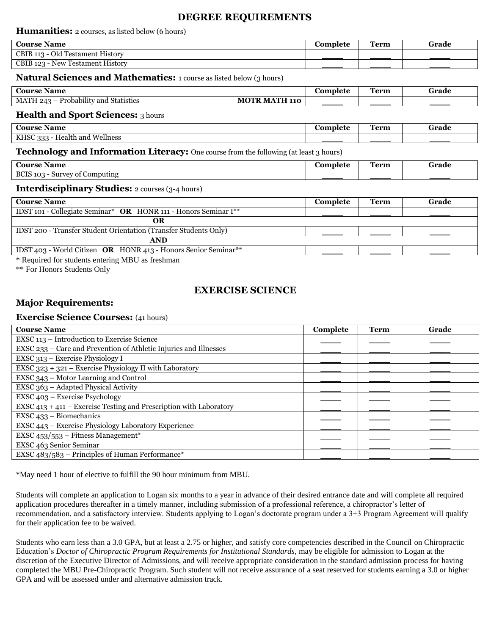# **DEGREE REQUIREMENTS**

**Humanities:** 2 courses, as listed below (6 hours)

| <b>Course Name</b>               | Complete | Term | Grade |
|----------------------------------|----------|------|-------|
| CBIB 113 - Old Testament History |          |      |       |
| CBIB 123 - New Testament History |          |      |       |

#### **Natural Sciences and Mathematics:** 1 course as listed below (3 hours)

| `Alipce<br>lama                                                                                                                              | mlete<br>$\sim$ $\sim$ | Tanm<br>гегии<br>_____ | Grade<br>- - - - |
|----------------------------------------------------------------------------------------------------------------------------------------------|------------------------|------------------------|------------------|
| $\sim$<br>MATH.<br><b>BEATHY</b><br>Sta:<br>110<br>atistics<br>v.<br>abuluty an<br>oba<br><i>. A</i> 9<br>n<br>$\overline{\phantom{a}}$<br>ு |                        |                        |                  |

### **Health and Sport Sciences:** 3 hours

| <b>Course Name</b>                | <b>Complete</b> | Term | Grade |
|-----------------------------------|-----------------|------|-------|
| Wellness<br>KHSC 333 - Health and |                 |      |       |

### **Technology and Information Literacy:** One course from the following (at least 3 hours)

| $\sim$                                                               | mlete، | <b>CONTINUES</b> | Grade |
|----------------------------------------------------------------------|--------|------------------|-------|
| <b>Course</b>                                                        | '      | a'anr            |       |
| <b>Name</b>                                                          | лл     | 1 сгип           |       |
| <b>BCIS</b><br>103<br>Sur <sup>-</sup><br>'omputıng<br>vev ot<br>. . |        |                  |       |

#### **Interdisciplinary Studies:** 2 courses (3-4 hours)

| <b>Course Name</b>                                                         | Complete | Term | Grade |
|----------------------------------------------------------------------------|----------|------|-------|
| IDST 101 - Collegiate Seminar* OR HONR 111 - Honors Seminar I**            |          |      |       |
|                                                                            |          |      |       |
| IDST 200 - Transfer Student Orientation (Transfer Students Only)           |          |      |       |
| <b>AND</b>                                                                 |          |      |       |
| IDST 403 - World Citizen OR HONR 413 - Honors Senior Seminar <sup>**</sup> |          |      |       |

\* Required for students entering MBU as freshman

\*\* For Honors Students Only

## **EXERCISE SCIENCE**

## **Major Requirements:**

#### **Exercise Science Courses:** (41 hours)

| <b>Course Name</b>                                                   | Complete | <b>Term</b> | Grade |
|----------------------------------------------------------------------|----------|-------------|-------|
| EXSC 113 - Introduction to Exercise Science                          |          |             |       |
| EXSC 233 – Care and Prevention of Athletic Injuries and Illnesses    |          |             |       |
| EXSC 313 - Exercise Physiology I                                     |          |             |       |
| EXSC $323 + 321$ – Exercise Physiology II with Laboratory            |          |             |       |
| $EXSC$ 343 – Motor Learning and Control                              |          |             |       |
| EXSC 363 - Adapted Physical Activity                                 |          |             |       |
| EXSC 403 - Exercise Psychology                                       |          |             |       |
| EXSC $413 + 411$ – Exercise Testing and Prescription with Laboratory |          |             |       |
| $EXSC$ 433 – Biomechanics                                            |          |             |       |
| EXSC 443 - Exercise Physiology Laboratory Experience                 |          |             |       |
| EXSC $453/553$ – Fitness Management*                                 |          |             |       |
| EXSC 463 Senior Seminar                                              |          |             |       |
| EXSC $483/583$ – Principles of Human Performance*                    |          |             |       |

\*May need 1 hour of elective to fulfill the 90 hour minimum from MBU.

Students will complete an application to Logan six months to a year in advance of their desired entrance date and will complete all required application procedures thereafter in a timely manner, including submission of a professional reference, a chiropractor's letter of recommendation, and a satisfactory interview. Students applying to Logan's doctorate program under a 3+3 Program Agreement will qualify for their application fee to be waived.

Students who earn less than a 3.0 GPA, but at least a 2.75 or higher, and satisfy core competencies described in the Council on Chiropractic Education's *Doctor of Chiropractic Program Requirements for Institutional Standards*, may be eligible for admission to Logan at the discretion of the Executive Director of Admissions, and will receive appropriate consideration in the standard admission process for having completed the MBU Pre-Chiropractic Program. Such student will not receive assurance of a seat reserved for students earning a 3.0 or higher GPA and will be assessed under and alternative admission track.